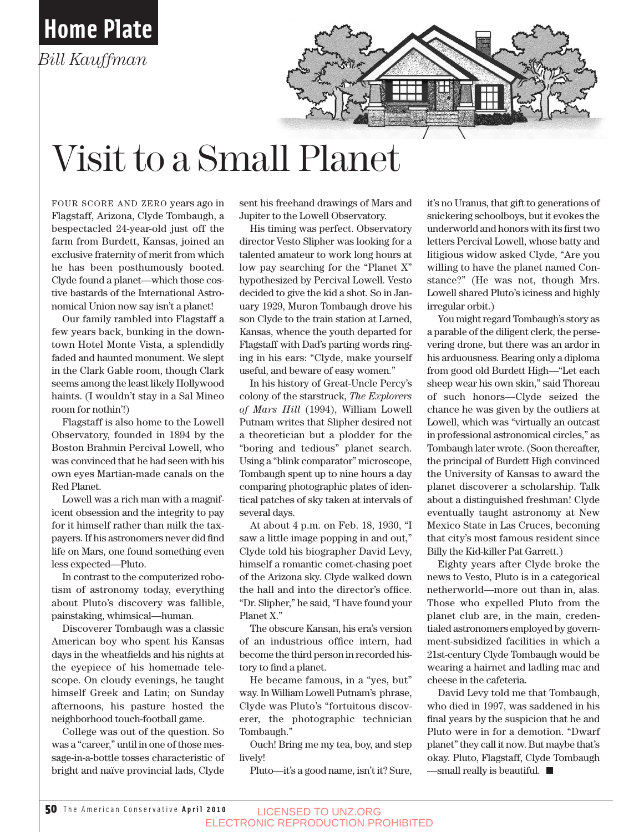

## Visit to a Small Planet

FOUR SCORE AND ZERO years ago in Flagstaff, Arizona, Clyde Tombaugh, a bespectacled 24-year-old just off the farm from Burdett, Kansas, joined an exclusive fraternity of merit from which he has been posthumously booted. Clyde found a planet—which those costive bastards of the International Astronomical Union now say isn't a planet!

Our family rambled into Flagstaff a few years back, bunking in the downtown Hotel Monte Vista, a splendidly faded and haunted monument. We slept in the Clark Gable room, though Clark seems among the least likely Hollywood haints. (I wouldn't stay in a Sal Mineo room for nothin'!)

Flagstaff is also home to the Lowell Observatory, founded in 1894 by the Boston Brahmin Percival Lowell, who was convinced that he had seen with his own eyes Martian-made canals on the Red Planet.

Lowell was a rich man with a magnificent obsession and the integrity to pay for it himself rather than milk the taxpayers. If his astronomers never did find life on Mars, one found something even less expected—Pluto.

In contrast to the computerized robotism of astronomy today, everything about Pluto's discovery was fallible, painstaking, whimsical—human.

Discoverer Tombaugh was a classic American boy who spent his Kansas days in the wheatfields and his nights at the eyepiece of his homemade telescope. On cloudy evenings, he taught himself Greek and Latin; on Sunday afternoons, his pasture hosted the neighborhood touch-football game.

College was out of the question. So was a "career," until in one of those message-in-a-bottle tosses characteristic of bright and naïve provincial lads, Clyde

sent his freehand drawings of Mars and Jupiter to the Lowell Observatory.

His timing was perfect. Observatory director Vesto Slipher was looking for a talented amateur to work long hours at low pay searching for the "Planet X" hypothesized by Percival Lowell. Vesto decided to give the kid a shot. So in January 1929, Muron Tombaugh drove his son Clyde to the train station at Larned, Kansas, whence the youth departed for Flagstaff with Dad's parting words ringing in his ears: "Clyde, make yourself useful, and beware of easy women."

In his history of Great-Uncle Percy's colony of the starstruck, *The Explorers of Mars Hill* (1994), William Lowell Putnam writes that Slipher desired not a theoretician but a plodder for the "boring and tedious" planet search. Using a "blink comparator" microscope, Tombaugh spent up to nine hours a day comparing photographic plates of identical patches of sky taken at intervals of several days.

At about 4 p.m. on Feb. 18, 1930, "I saw a little image popping in and out," Clyde told his biographer David Levy, himself a romantic comet-chasing poet of the Arizona sky. Clyde walked down the hall and into the director's office. "Dr. Slipher," he said, "I have found your Planet X."

The obscure Kansan, his era's version of an industrious office intern, had become the third person in recorded history to find a planet.

He became famous, in a "yes, but" way. In William Lowell Putnam's phrase, Clyde was Pluto's "fortuitous discoverer, the photographic technician Tombaugh."

Ouch! Bring me my tea, boy, and step lively!

Pluto—it's a good name, isn't it? Sure,

it's no Uranus, that gift to generations of snickering schoolboys, but it evokes the underworld and honors with its first two letters Percival Lowell, whose batty and litigious widow asked Clyde, "Are you willing to have the planet named Constance?" (He was not, though Mrs. Lowell shared Pluto's iciness and highly irregular orbit.)

You might regard Tombaugh's story as a parable of the diligent clerk, the persevering drone, but there was an ardor in his arduousness. Bearing only a diploma from good old Burdett High—"Let each sheep wear his own skin," said Thoreau of such honors—Clyde seized the chance he was given by the outliers at Lowell, which was "virtually an outcast in professional astronomical circles," as Tombaugh later wrote. (Soon thereafter, the principal of Burdett High convinced the University of Kansas to award the planet discoverer a scholarship. Talk about a distinguished freshman! Clyde eventually taught astronomy at New Mexico State in Las Cruces, becoming that city's most famous resident since Billy the Kid-killer Pat Garrett.)

Eighty years after Clyde broke the news to Vesto, Pluto is in a categorical netherworld—more out than in, alas. Those who expelled Pluto from the planet club are, in the main, credentialed astronomers employed by government-subsidized facilities in which a 21st-century Clyde Tombaugh would be wearing a hairnet and ladling mac and cheese in the cafeteria.

David Levy told me that Tombaugh, who died in 1997, was saddened in his final years by the suspicion that he and Pluto were in for a demotion. "Dwarf planet" they call it now. But maybe that's okay. Pluto, Flagstaff, Clyde Tombaugh  $\equiv$  = small really is beautiful.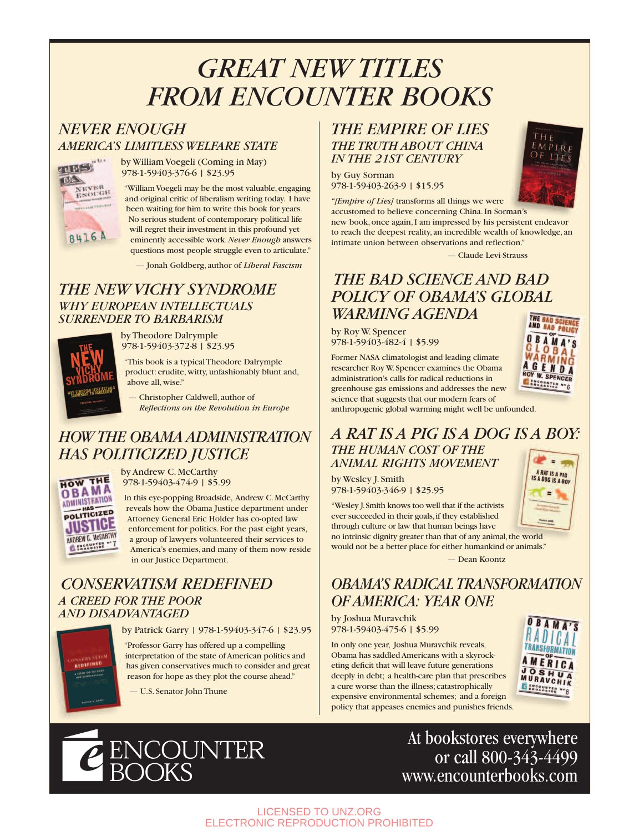# **GREAT NEW TITLES<br>FROM ENCOUNTER BOOKS**

#### **AMERICA'S LIMITLESS WELFARE STATE** *FIRE ENCOUGH* **FROM ENGINEERING BOOKS**



**AMERICA'S LIMITLESS WELFARE STATE** 978-1-59403-376-6 | \$23.95

> "William Voegeli may be the most valuable, engaging and original critic of liberalism writing today. I have been waiting for him to write this book for years. No serious student of contemporary political life will regret their investment in this profound yet eminently accessible work.*Never Enough* answers questions most people struggle even to articulate."

— Jonah Goldberg, author of *Liberal Fascism*

#### *THE NEW VICHY SYNDROME SURRENDER TO BARBARISM*



**SURRENDER TO BARBARY AND THEODORE** 978-1-59403-372-8 | \$23.95

> "This book is a typical Theodore Dalrymple product: erudite, witty, unfashionably blunt and, above all, wise."

— Christopher Caldwell, author of *Reflections on the Revolution in Europe*

### *HOW THE OBAMA ADMINISTRATION*



**EXAMPLE POLITICIZED** JUSTICE 978-1-59403-474-9 | \$5.99

> In this eye-popping Broadside, Andrew C.McCarthy reveals how the Obama Justice department under Attorney General Eric Holder has co-opted law enforcement for politics. For the past eight years, a group of lawyers volunteered their services to America's enemies, and many of them now reside in our Justice Department.

#### **CONSERVATISM REDEFINED A CREED FOR THE POOR** *AND DISADVANTAGED*

**AND DISPUTE DISPUTE DISPUTE DE 1978-1-59403-347-6 | \$23.95** 

"Professor Garry has offered up a compelling interpretation of the state of American politics and has given conservatives much to consider and great reason for hope as they plot the course ahead."

— U.S. Senator John Thune

#### **THE TRUTH ABOUT CHINA** *IN THE 21ST CENTURY*

*IN THE 21ST CENTURY* by Guy Sorman 978-1-59403-263-9 | \$15.95



— Claude Levi-Strauss

#### THE BAD SCIENCE AND BAD **POLICY OF OBAMA'S GLOBAL WARMING AGENDA**

*WARMING AGENDA* by Roy W. Spencer 978-1-59403-482-4 | \$5.99

Former NASA climatologist and leading climate researcher Roy W.Spencer examines the Obama administration's calls for radical reductions in greenhouse gas emissions and addresses the new science that suggests that our modern fears of



IS A DOG IS A BOY

anthropogenic global warming might well be unfounded.

#### A RAT IS A PIG IS A DOG IS A BOY: **THE HUMAN COST OF THE ANIMAL RIGHTS MOVEMENT RAT IS A PIG**

*ANIMAL RIGHTS MOVEMENT* by Wesley J. Smith 978-1-59403-346-9 | \$25.95

"Wesley J.Smith knows too well that if the activists ever succeeded in their goals,if they established through culture or law that human beings have



*OBAMA'S RADICAL TRANSFORMATION*

*OF AMERICA: YEAR ONE* by Joshua Muravchik 978-1-59403-475-6 | \$5.99

In only one year, Joshua Muravchik reveals, Obama has saddled Americans with a skyrocketing deficit that will leave future generations deeply in debt; a health-care plan that prescribes a cure worse than the illness; catastrophically expensive environmental schemes; and a foreign policy that appeases enemies and punishes friends.





At bookstores everywhere or call 800-343-4499 www.encounterbooks.com

LICENSED TO UNZ.ORG ELECTRONIC REPRODUCTION PROHIBITED